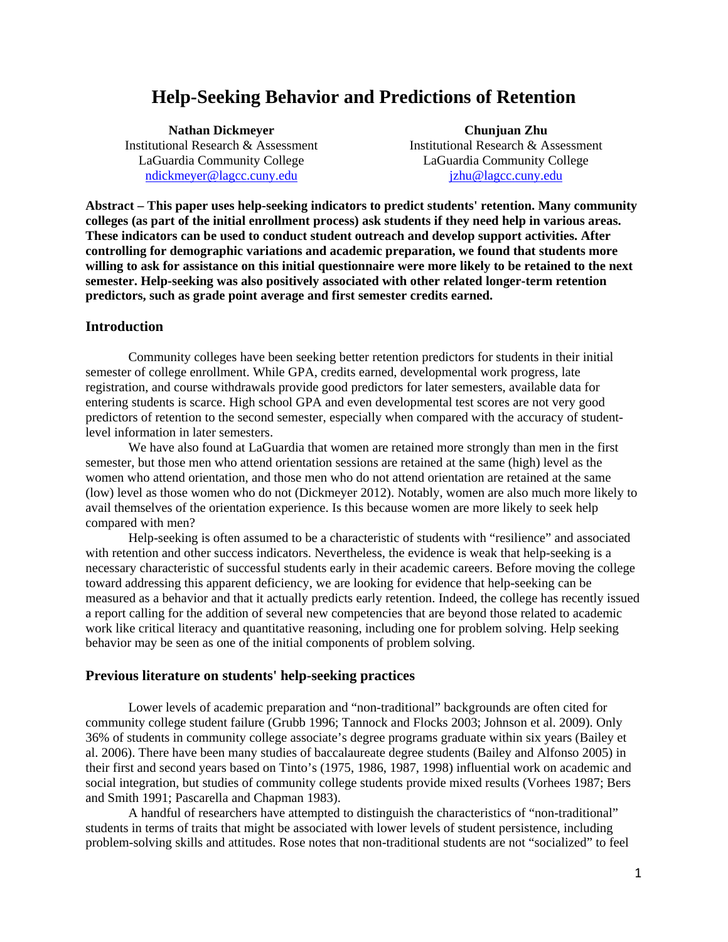# **Help-Seeking Behavior and Predictions of Retention**

[ndickmeyer@lagcc.cuny.edu](mailto:ndickmeyer@lagcc.cuny.edu)

jzhu@lagcc.cuny.edu **Nathan Dickmeyer Chunjuan Zhu**  Institutional Research & Assessment Institutional Research & Assessment LaGuardia Community College LaGuardia Community College

**Abstract – This paper uses help-seeking indicators to predict students' retention. Many community colleges (as part of the initial enrollment process) ask students if they need help in various areas. These indicators can be used to conduct student outreach and develop support activities. After controlling for demographic variations and academic preparation, we found that students more willing to ask for assistance on this initial questionnaire were more likely to be retained to the next semester. Help-seeking was also positively associated with other related longer-term retention predictors, such as grade point average and first semester credits earned.** 

### **Introduction**

Community colleges have been seeking better retention predictors for students in their initial semester of college enrollment. While GPA, credits earned, developmental work progress, late registration, and course withdrawals provide good predictors for later semesters, available data for entering students is scarce. High school GPA and even developmental test scores are not very good predictors of retention to the second semester, especially when compared with the accuracy of studentlevel information in later semesters.

compared with men? We have also found at LaGuardia that women are retained more strongly than men in the first semester, but those men who attend orientation sessions are retained at the same (high) level as the women who attend orientation, and those men who do not attend orientation are retained at the same (low) level as those women who do not (Dickmeyer 2012). Notably, women are also much more likely to avail themselves of the orientation experience. Is this because women are more likely to seek help

Help-seeking is often assumed to be a characteristic of students with "resilience" and associated with retention and other success indicators. Nevertheless, the evidence is weak that help-seeking is a necessary characteristic of successful students early in their academic careers. Before moving the college toward addressing this apparent deficiency, we are looking for evidence that help-seeking can be measured as a behavior and that it actually predicts early retention. Indeed, the college has recently issued a report calling for the addition of several new competencies that are beyond those related to academic work like critical literacy and quantitative reasoning, including one for problem solving. Help seeking behavior may be seen as one of the initial components of problem solving.

### **Previous literature on students' help-seeking practices**

Lower levels of academic preparation and "non-traditional" backgrounds are often cited for community college student failure (Grubb 1996; Tannock and Flocks 2003; Johnson et al. 2009). Only 36% of students in community college associate's degree programs graduate within six years (Bailey et al. 2006). There have been many studies of baccalaureate degree students (Bailey and Alfonso 2005) in their first and second years based on Tinto's (1975, 1986, 1987, 1998) influential work on academic and social integration, but studies of community college students provide mixed results (Vorhees 1987; Bers and Smith 1991; Pascarella and Chapman 1983).

A handful of researchers have attempted to distinguish the characteristics of "non-traditional" students in terms of traits that might be associated with lower levels of student persistence, including problem-solving skills and attitudes. Rose notes that non-traditional students are not "socialized" to feel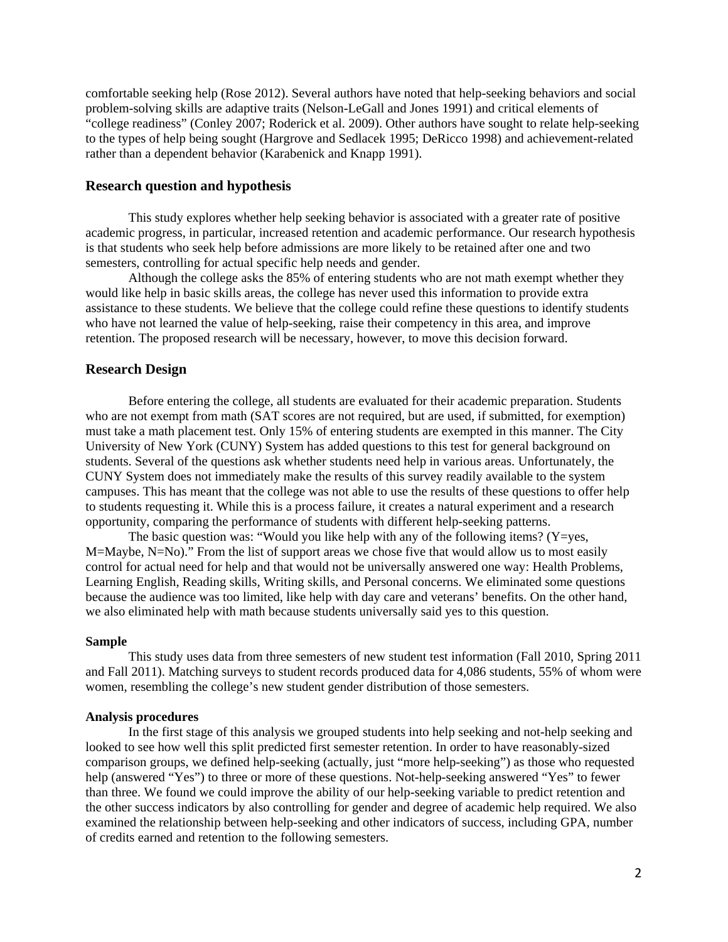comfortable seeking help (Rose 2012). Several authors have noted that help-seeking behaviors and social problem-solving skills are adaptive traits (Nelson-LeGall and Jones 1991) and critical elements of "college readiness" (Conley 2007; Roderick et al. 2009). Other authors have sought to relate help-seeking to the types of help being sought (Hargrove and Sedlacek 1995; DeRicco 1998) and achievement-related rather than a dependent behavior (Karabenick and Knapp 1991).

# **Research question and hypothesis**

This study explores whether help seeking behavior is associated with a greater rate of positive academic progress, in particular, increased retention and academic performance. Our research hypothesis is that students who seek help before admissions are more likely to be retained after one and two semesters, controlling for actual specific help needs and gender.

Although the college asks the 85% of entering students who are not math exempt whether they would like help in basic skills areas, the college has never used this information to provide extra assistance to these students. We believe that the college could refine these questions to identify students who have not learned the value of help-seeking, raise their competency in this area, and improve retention. The proposed research will be necessary, however, to move this decision forward.

# **Research Design**

Before entering the college, all students are evaluated for their academic preparation. Students who are not exempt from math (SAT scores are not required, but are used, if submitted, for exemption) must take a math placement test. Only 15% of entering students are exempted in this manner. The City University of New York (CUNY) System has added questions to this test for general background on students. Several of the questions ask whether students need help in various areas. Unfortunately, the CUNY System does not immediately make the results of this survey readily available to the system campuses. This has meant that the college was not able to use the results of these questions to offer help to students requesting it. While this is a process failure, it creates a natural experiment and a research opportunity, comparing the performance of students with different help-seeking patterns.

The basic question was: "Would you like help with any of the following items? (Y=yes, M=Maybe, N=No)." From the list of support areas we chose five that would allow us to most easily control for actual need for help and that would not be universally answered one way: Health Problems, Learning English, Reading skills, Writing skills, and Personal concerns. We eliminated some questions because the audience was too limited, like help with day care and veterans' benefits. On the other hand, we also eliminated help with math because students universally said yes to this question.

# **Sample**

 This study uses data from three semesters of new student test information (Fall 2010, Spring 2011 and Fall 2011). Matching surveys to student records produced data for 4,086 students, 55% of whom were women, resembling the college's new student gender distribution of those semesters.

#### **Analysis procedures**

In the first stage of this analysis we grouped students into help seeking and not-help seeking and looked to see how well this split predicted first semester retention. In order to have reasonably-sized comparison groups, we defined help-seeking (actually, just "more help-seeking") as those who requested help (answered "Yes") to three or more of these questions. Not-help-seeking answered "Yes" to fewer than three. We found we could improve the ability of our help-seeking variable to predict retention and the other success indicators by also controlling for gender and degree of academic help required. We also examined the relationship between help-seeking and other indicators of success, including GPA, number of credits earned and retention to the following semesters.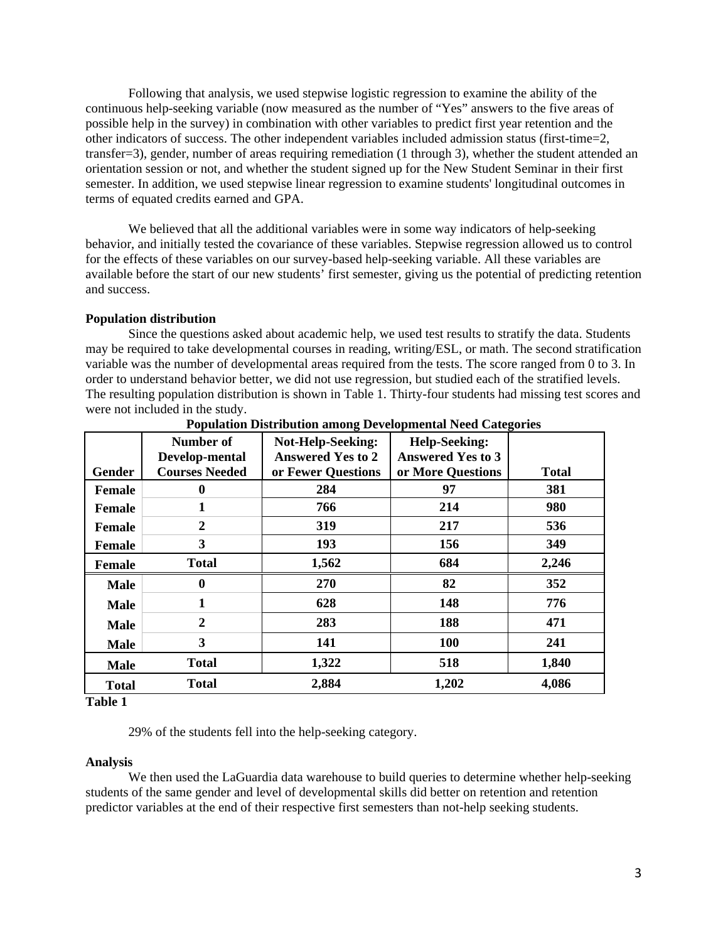Following that analysis, we used stepwise logistic regression to examine the ability of the continuous help-seeking variable (now measured as the number of "Yes" answers to the five areas of possible help in the survey) in combination with other variables to predict first year retention and the other indicators of success. The other independent variables included admission status (first-time=2, transfer=3), gender, number of areas requiring remediation (1 through 3), whether the student attended an orientation session or not, and whether the student signed up for the New Student Seminar in their first semester. In addition, we used stepwise linear regression to examine students' longitudinal outcomes in terms of equated credits earned and GPA.

We believed that all the additional variables were in some way indicators of help-seeking behavior, and initially tested the covariance of these variables. Stepwise regression allowed us to control for the effects of these variables on our survey-based help-seeking variable. All these variables are available before the start of our new students' first semester, giving us the potential of predicting retention and success.

### **Population distribution**

Since the questions asked about academic help, we used test results to stratify the data. Students may be required to take developmental courses in reading, writing/ESL, or math. The second stratification variable was the number of developmental areas required from the tests. The score ranged from 0 to 3. In order to understand behavior better, we did not use regression, but studied each of the stratified levels. The resulting population distribution is shown in Table 1. Thirty-four students had missing test scores and were not included in the study.

|               | Number of                               | <b>Not-Help-Seeking:</b><br><b>Answered Yes to 2</b> | <b>Help-Seeking:</b><br><b>Answered Yes to 3</b> |       |
|---------------|-----------------------------------------|------------------------------------------------------|--------------------------------------------------|-------|
| Gender        | Develop-mental<br><b>Courses Needed</b> | or Fewer Questions                                   | or More Questions                                | Total |
| <b>Female</b> | 0                                       | 284                                                  | 97                                               | 381   |
| <b>Female</b> | 1                                       | 766                                                  | 214                                              | 980   |
| <b>Female</b> | $\boldsymbol{2}$                        | 319                                                  | 217                                              | 536   |
| <b>Female</b> | 3                                       | 193                                                  | 156                                              | 349   |
| <b>Female</b> | <b>Total</b>                            | 1,562                                                | 684                                              | 2,246 |
| <b>Male</b>   | $\bf{0}$                                | 270                                                  | 82                                               | 352   |
| Male          | 1                                       | 628                                                  | 148                                              | 776   |
| Male          | 2                                       | 283                                                  | 188                                              | 471   |
| <b>Male</b>   | 3                                       | 141                                                  | 100                                              | 241   |
| <b>Male</b>   | Total                                   | 1,322                                                | 518                                              | 1,840 |
| <b>Total</b>  | <b>Total</b>                            | 2,884                                                | 1,202                                            | 4,086 |

**Population Distribution among Developmental Need Categories** 

**Table 1** 

29% of the students fell into the help-seeking category.

### **Analysis**

We then used the LaGuardia data warehouse to build queries to determine whether help-seeking students of the same gender and level of developmental skills did better on retention and retention predictor variables at the end of their respective first semesters than not-help seeking students.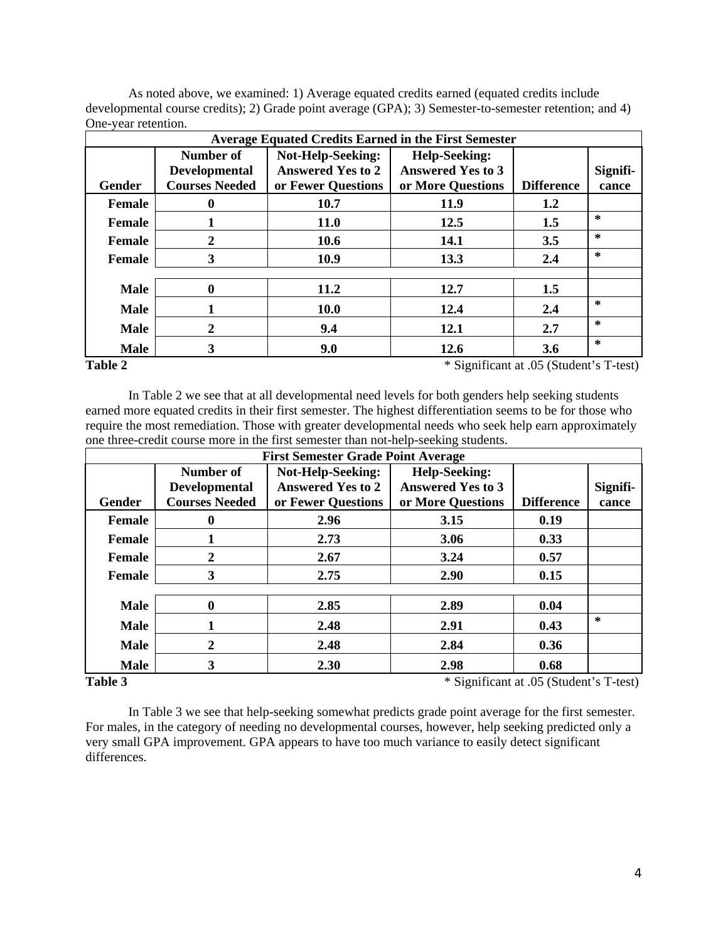| <b>Average Equated Credits Earned in the First Semester</b> |                                               |                                                      |                                                  |                   |                   |  |  |
|-------------------------------------------------------------|-----------------------------------------------|------------------------------------------------------|--------------------------------------------------|-------------------|-------------------|--|--|
|                                                             | Number of                                     | <b>Not-Help-Seeking:</b><br><b>Answered Yes to 2</b> | <b>Help-Seeking:</b><br><b>Answered Yes to 3</b> |                   |                   |  |  |
| Gender                                                      | <b>Developmental</b><br><b>Courses Needed</b> | or Fewer Questions                                   | or More Questions                                | <b>Difference</b> | Signifi-<br>cance |  |  |
| <b>Female</b>                                               | 0                                             | 10.7                                                 | 11.9                                             | 1.2               |                   |  |  |
| <b>Female</b>                                               |                                               | <b>11.0</b>                                          | 12.5                                             | 1.5               | $\ast$            |  |  |
| <b>Female</b>                                               | 2                                             | 10.6                                                 | <b>14.1</b>                                      | 3.5               | $\ast$            |  |  |
| Female                                                      | 3                                             | 10.9                                                 | 13.3                                             | 2.4               | $\ast$            |  |  |
|                                                             |                                               |                                                      |                                                  |                   |                   |  |  |
| <b>Male</b>                                                 | 0                                             | 11.2                                                 | 12.7                                             | 1.5               |                   |  |  |
| <b>Male</b>                                                 |                                               | <b>10.0</b>                                          | 12.4                                             | 2.4               | $\mathbf{x}$      |  |  |
| <b>Male</b>                                                 | 2                                             | 9.4                                                  | 12.1                                             | 2.7               | $\ast$            |  |  |
| <b>Male</b>                                                 | 3                                             | 9.0                                                  | 12.6                                             | 3.6               | $\ast$            |  |  |

As noted above, we examined: 1) Average equated credits earned (equated credits include developmental course credits); 2) Grade point average (GPA); 3) Semester-to-semester retention; and 4) One-year retention.

#### **Table 2**

**Table 2** \* Significant at .05 (Student's T-test)

In Table 2 we see that at all developmental need levels for both genders help seeking students earned more equated credits in their first semester. The highest differentiation seems to be for those who require the most remediation. Those with greater developmental needs who seek help earn approximately one three-credit course more in the first semester than not-help-seeking students.

| <b>First Semester Grade Point Average</b> |                       |                          |                          |                   |          |  |  |
|-------------------------------------------|-----------------------|--------------------------|--------------------------|-------------------|----------|--|--|
|                                           | Number of             |                          |                          |                   |          |  |  |
|                                           | <b>Developmental</b>  | <b>Answered Yes to 2</b> | <b>Answered Yes to 3</b> |                   | Signifi- |  |  |
| Gender                                    | <b>Courses Needed</b> | or Fewer Questions       | or More Questions        | <b>Difference</b> | cance    |  |  |
| <b>Female</b>                             | O                     | 2.96                     | 3.15                     | 0.19              |          |  |  |
| <b>Female</b>                             |                       | 2.73                     | 3.06                     | 0.33              |          |  |  |
| Female                                    | 2                     | 2.67                     | 3.24                     | 0.57              |          |  |  |
| Female                                    | 3                     | 2.75                     | 2.90                     | 0.15              |          |  |  |
|                                           |                       |                          |                          |                   |          |  |  |
| <b>Male</b>                               | 0                     | 2.85                     | 2.89                     | 0.04              |          |  |  |
| <b>Male</b>                               |                       | 2.48                     | 2.91                     | 0.43              | $\ast$   |  |  |
| <b>Male</b>                               | 2                     | 2.48                     | 2.84                     | 0.36              |          |  |  |
| <b>Male</b>                               | 3                     | 2.30                     | 2.98                     | 0.68              |          |  |  |

### Table 3

**Table 3** \* Significant at .05 (Student's T-test)

In Table 3 we see that help-seeking somewhat predicts grade point average for the first semester. For males, in the category of needing no developmental courses, however, help seeking predicted only a very small GPA improvement. GPA appears to have too much variance to easily detect significant differences.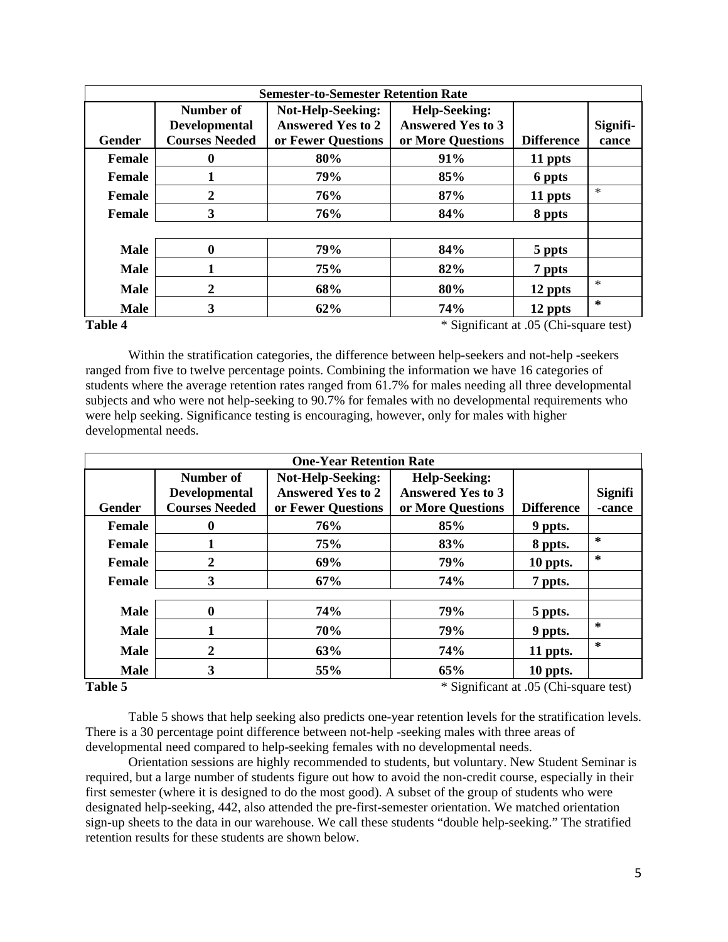| <b>Semester-to-Semester Retention Rate</b> |                                                               |                          |                          |                   |          |  |  |
|--------------------------------------------|---------------------------------------------------------------|--------------------------|--------------------------|-------------------|----------|--|--|
|                                            | <b>Help-Seeking:</b><br>Number of<br><b>Not-Help-Seeking:</b> |                          |                          |                   |          |  |  |
|                                            | <b>Developmental</b>                                          | <b>Answered Yes to 2</b> | <b>Answered Yes to 3</b> |                   | Signifi- |  |  |
| Gender                                     | <b>Courses Needed</b>                                         | or Fewer Questions       | or More Questions        | <b>Difference</b> | cance    |  |  |
| <b>Female</b>                              | 0                                                             | 80%                      | 91%                      | 11 ppts           |          |  |  |
| Female                                     |                                                               | 79%                      | 85%                      | 6 ppts            |          |  |  |
| <b>Female</b>                              | 2                                                             | 76%                      | 87%                      | 11 ppts           | $\ast$   |  |  |
| <b>Female</b>                              | 3                                                             | 76%                      | 84%                      | 8 ppts            |          |  |  |
|                                            |                                                               |                          |                          |                   |          |  |  |
| <b>Male</b>                                | $\bf{0}$                                                      | 79%                      | 84%                      | 5 ppts            |          |  |  |
| <b>Male</b>                                |                                                               | 75%                      | 82%                      | 7 ppts            |          |  |  |
| <b>Male</b>                                | 2                                                             | 68%                      | 80%                      | 12 ppts           | $\ast$   |  |  |
| <b>Male</b>                                | 3                                                             | 62%                      | 74%                      | 12 ppts           | $\ast$   |  |  |

### Table 4

**Table 4** \* Significant at .05 (Chi-square test)

Within the stratification categories, the difference between help-seekers and not-help -seekers ranged from five to twelve percentage points. Combining the information we have 16 categories of students where the average retention rates ranged from 61.7% for males needing all three developmental subjects and who were not help-seeking to 90.7% for females with no developmental requirements who were help seeking. Significance testing is encouraging, however, only for males with higher developmental needs.

| <b>One-Year Retention Rate</b> |                       |                          |                          |                   |         |  |  |
|--------------------------------|-----------------------|--------------------------|--------------------------|-------------------|---------|--|--|
|                                | Number of             | Not-Help-Seeking:        | <b>Help-Seeking:</b>     |                   |         |  |  |
|                                | <b>Developmental</b>  | <b>Answered Yes to 2</b> | <b>Answered Yes to 3</b> |                   | Signifi |  |  |
| Gender                         | <b>Courses Needed</b> | or Fewer Questions       | or More Questions        | <b>Difference</b> | -cance  |  |  |
| <b>Female</b>                  | 0                     | 76%                      | 85%                      | 9 ppts.           |         |  |  |
| <b>Female</b>                  |                       | 75%                      | 83%                      | 8 ppts.           | $\ast$  |  |  |
| <b>Female</b>                  | $\overline{2}$        | 69%                      | 79%                      | 10 ppts.          | $\ast$  |  |  |
| Female                         | 3                     | 67%                      | 74%                      | 7 ppts.           |         |  |  |
|                                |                       |                          |                          |                   |         |  |  |
| <b>Male</b>                    | $\mathbf{0}$          | 74%                      | 79%                      | 5 ppts.           |         |  |  |
| <b>Male</b>                    |                       | 70%                      | 79%                      | 9 ppts.           | $\ast$  |  |  |
| <b>Male</b>                    | 2                     | 63%                      | 74%                      | 11 ppts.          | $\ast$  |  |  |
| <b>Male</b>                    | 3                     | 55%                      | 65%                      | 10 ppts.          |         |  |  |

# Table 5

**Table 5** \* Significant at .05 (Chi-square test)

Table 5 shows that help seeking also predicts one-year retention levels for the stratification levels. There is a 30 percentage point difference between not-help -seeking males with three areas of developmental need compared to help-seeking females with no developmental needs.

Orientation sessions are highly recommended to students, but voluntary. New Student Seminar is required, but a large number of students figure out how to avoid the non-credit course, especially in their first semester (where it is designed to do the most good). A subset of the group of students who were designated help-seeking, 442, also attended the pre-first-semester orientation. We matched orientation sign-up sheets to the data in our warehouse. We call these students "double help-seeking." The stratified retention results for these students are shown below.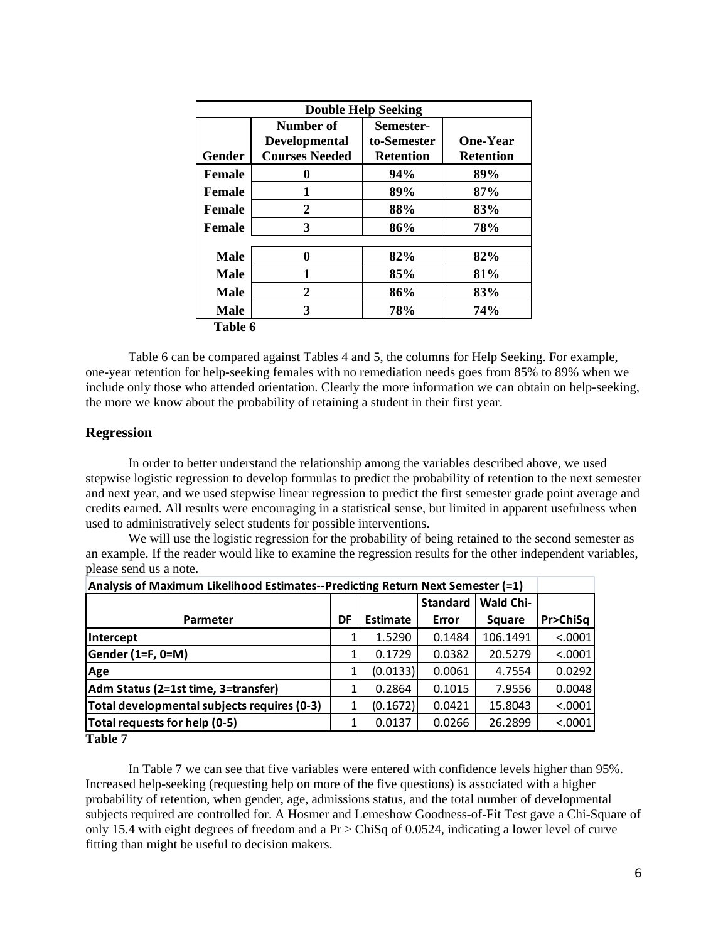|               |                       | <b>Double Help Seeking</b> |                  |
|---------------|-----------------------|----------------------------|------------------|
|               | Number of             | Semester-                  |                  |
|               | <b>Developmental</b>  | to-Semester                | <b>One-Year</b>  |
| <b>Gender</b> | <b>Courses Needed</b> | <b>Retention</b>           | <b>Retention</b> |
| <b>Female</b> | 0                     | 94%                        | 89%              |
| <b>Female</b> | 1                     | 89%                        | 87%              |
| <b>Female</b> | $\mathbf{2}$          | 88%                        | 83%              |
| <b>Female</b> | 3                     | 86%                        | 78%              |
| <b>Male</b>   | $\bf{0}$              | 82%                        | 82%              |
| <b>Male</b>   | 1                     | 85%                        | 81%              |
| <b>Male</b>   | $\mathbf{2}$          | 86%                        | 83%              |
| <b>Male</b>   | 3                     | 78%                        | 74%              |
| Table 6       |                       |                            |                  |

Table 6 can be compared against Tables 4 and 5, the columns for Help Seeking. For example, one-year retention for help-seeking females with no remediation needs goes from 85% to 89% when we include only those who attended orientation. Clearly the more information we can obtain on help-seeking, the more we know about the probability of retaining a student in their first year.

# **Regression**

In order to better understand the relationship among the variables described above, we used stepwise logistic regression to develop formulas to predict the probability of retention to the next semester and next year, and we used stepwise linear regression to predict the first semester grade point average and credits earned. All results were encouraging in a statistical sense, but limited in apparent usefulness when used to administratively select students for possible interventions.

We will use the logistic regression for the probability of being retained to the second semester as an example. If the reader would like to examine the regression results for the other independent variables, please send us a note.

| Analysis of Maximum Likelihood Estimates--Predicting Return Next Semester (=1) |           |                 |        |          |          |  |  |
|--------------------------------------------------------------------------------|-----------|-----------------|--------|----------|----------|--|--|
|                                                                                | Wald Chi- |                 |        |          |          |  |  |
| <b>Parmeter</b>                                                                | DF        | <b>Estimate</b> | Error  | Square   | Pr>ChiSq |  |  |
| Intercept                                                                      | 1         | 1.5290          | 0.1484 | 106.1491 | < .0001  |  |  |
| Gender (1=F, 0=M)                                                              | 1         | 0.1729          | 0.0382 | 20.5279  | < .0001  |  |  |
| Age                                                                            |           | (0.0133)        | 0.0061 | 4.7554   | 0.0292   |  |  |
| Adm Status (2=1st time, 3=transfer)                                            |           | 0.2864          | 0.1015 | 7.9556   | 0.0048   |  |  |
| Total developmental subjects requires (0-3)                                    |           | (0.1672)        | 0.0421 | 15.8043  | < .0001  |  |  |
| Total requests for help (0-5)                                                  |           | 0.0137          | 0.0266 | 26.2899  | < .0001  |  |  |
| <b>Table 7</b>                                                                 |           |                 |        |          |          |  |  |

In Table 7 we can see that five variables were entered with confidence levels higher than 95%. Increased help-seeking (requesting help on more of the five questions) is associated with a higher probability of retention, when gender, age, admissions status, and the total number of developmental subjects required are controlled for. A Hosmer and Lemeshow Goodness-of-Fit Test gave a Chi-Square of only 15.4 with eight degrees of freedom and a Pr > ChiSq of 0.0524, indicating a lower level of curve fitting than might be useful to decision makers.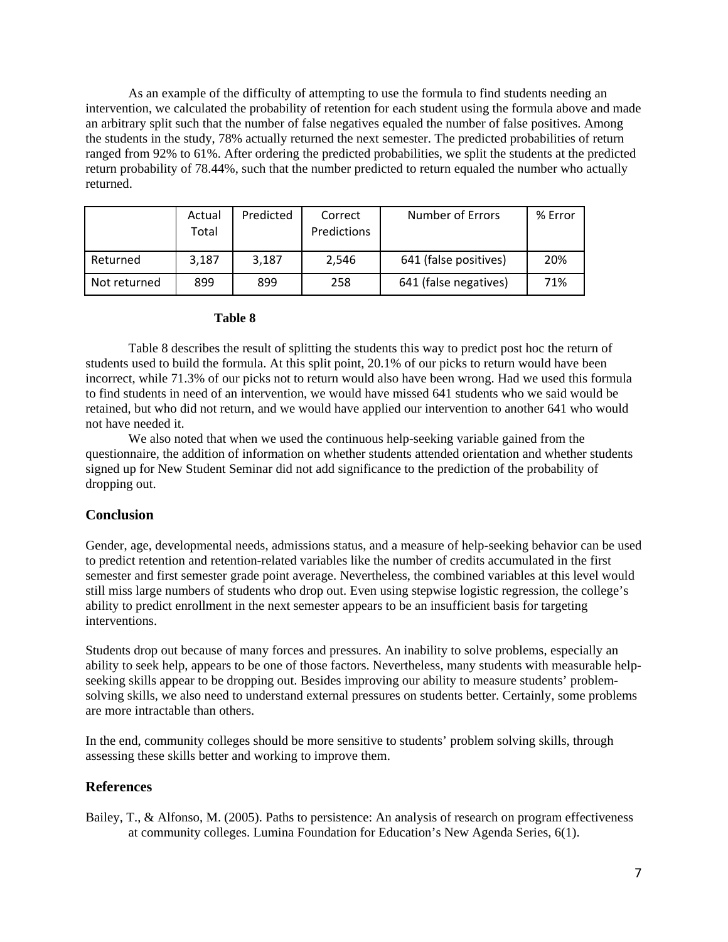As an example of the difficulty of attempting to use the formula to find students needing an intervention, we calculated the probability of retention for each student using the formula above and made an arbitrary split such that the number of false negatives equaled the number of false positives. Among the students in the study, 78% actually returned the next semester. The predicted probabilities of return ranged from 92% to 61%. After ordering the predicted probabilities, we split the students at the predicted return probability of 78.44%, such that the number predicted to return equaled the number who actually returned.

|              | Actual<br>Total | Predicted | Correct<br>Predictions | Number of Errors      | % Error |
|--------------|-----------------|-----------|------------------------|-----------------------|---------|
| Returned     | 3.187           | 3.187     | 2,546                  | 641 (false positives) | 20%     |
| Not returned | 899             | 899       | 258                    | 641 (false negatives) | 71%     |

# **Table 8**

Table 8 describes the result of splitting the students this way to predict post hoc the return of students used to build the formula. At this split point, 20.1% of our picks to return would have been incorrect, while 71.3% of our picks not to return would also have been wrong. Had we used this formula to find students in need of an intervention, we would have missed 641 students who we said would be retained, but who did not return, and we would have applied our intervention to another 641 who would not have needed it.

We also noted that when we used the continuous help-seeking variable gained from the questionnaire, the addition of information on whether students attended orientation and whether students signed up for New Student Seminar did not add significance to the prediction of the probability of dropping out.

### **Conclusion**

Gender, age, developmental needs, admissions status, and a measure of help-seeking behavior can be used to predict retention and retention-related variables like the number of credits accumulated in the first semester and first semester grade point average. Nevertheless, the combined variables at this level would still miss large numbers of students who drop out. Even using stepwise logistic regression, the college's ability to predict enrollment in the next semester appears to be an insufficient basis for targeting interventions.

Students drop out because of many forces and pressures. An inability to solve problems, especially an ability to seek help, appears to be one of those factors. Nevertheless, many students with measurable helpseeking skills appear to be dropping out. Besides improving our ability to measure students' problemsolving skills, we also need to understand external pressures on students better. Certainly, some problems are more intractable than others.

In the end, community colleges should be more sensitive to students' problem solving skills, through assessing these skills better and working to improve them.

# **References**

Bailey, T., & Alfonso, M. (2005). Paths to persistence: An analysis of research on program effectiveness at community colleges. Lumina Foundation for Education's New Agenda Series, 6(1).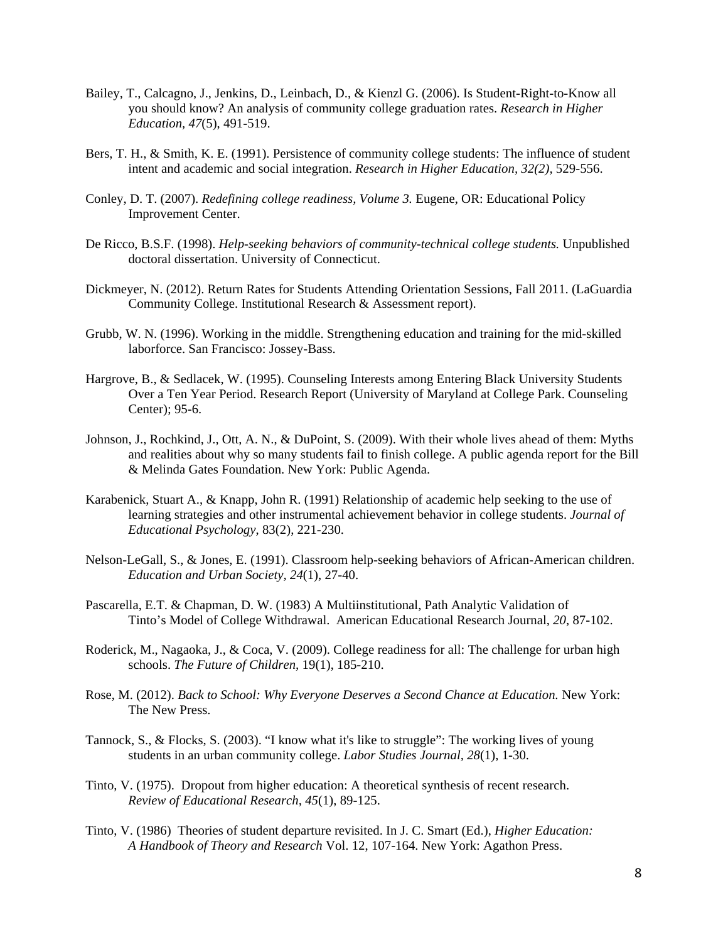- Bailey, T., Calcagno, J., Jenkins, D., Leinbach, D., & Kienzl G. (2006). Is Student-Right-to-Know all you should know? An analysis of community college graduation rates. *Research in Higher Education, 47*(5), 491-519.
- Bers, T. H., & Smith, K. E. (1991). Persistence of community college students: The influence of student intent and academic and social integration. *Research in Higher Education, 32(2),* 529-556.
- Conley, D. T. (2007). *Redefining college readiness, Volume 3.* Eugene, OR: Educational Policy Improvement Center.
- De Ricco, B.S.F. (1998). *Help-seeking behaviors of community-technical college students.* Unpublished doctoral dissertation. University of Connecticut.
- Dickmeyer, N. (2012). Return Rates for Students Attending Orientation Sessions, Fall 2011. (LaGuardia Community College. Institutional Research & Assessment report).
- Grubb, W. N. (1996). Working in the middle. Strengthening education and training for the mid-skilled laborforce. San Francisco: Jossey-Bass.
- Hargrove, B., & Sedlacek, W. (1995). Counseling Interests among Entering Black University Students Over a Ten Year Period. Research Report (University of Maryland at College Park. Counseling Center); 95-6.
- Johnson, J., Rochkind, J., Ott, A. N., & DuPoint, S. (2009). With their whole lives ahead of them: Myths and realities about why so many students fail to finish college. A public agenda report for the Bill & Melinda Gates Foundation. New York: Public Agenda.
- Karabenick, Stuart A., & Knapp, John R. (1991) Relationship of academic help seeking to the use of learning strategies and other instrumental achievement behavior in college students. *Journal of Educational Psychology*, 83(2), 221-230.
- Nelson-LeGall, S., & Jones, E. (1991). Classroom help-seeking behaviors of African-American children. *Education and Urban Society, 24*(1), 27-40.
- Tinto's Model of College Withdrawal. American Educational Research Journal, *20*, 87-102. Pascarella, E.T. & Chapman, D. W. (1983) A Multiinstitutional, Path Analytic Validation of
- Roderick, M., Nagaoka, J., & Coca, V. (2009). College readiness for all: The challenge for urban high schools. *The Future of Children,* 19(1), 185-210.
- Rose, M. (2012). *Back to School: Why Everyone Deserves a Second Chance at Education.* New York: The New Press.
- Tannock, S., & Flocks, S. (2003). "I know what it's like to struggle": The working lives of young students in an urban community college. *Labor Studies Journal, 28*(1), 1-30.
- Tinto, V. (1975). Dropout from higher education: A theoretical synthesis of recent research. *Review of Educational Research, 45*(1), 89-125.
- Tinto, V. (1986) Theories of student departure revisited. In J. C. Smart (Ed.), *Higher Education: A Handbook of Theory and Research* Vol. 12, 107-164. New York: Agathon Press.